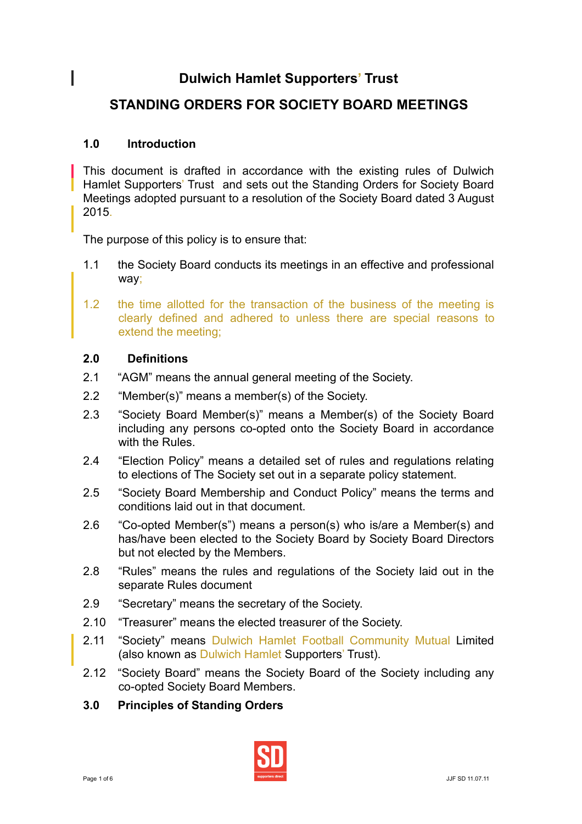# **Dulwich Hamlet Supporters' Trust**

# **STANDING ORDERS FOR SOCIETY BOARD MEETINGS**

# **1.0 Introduction**

 $\overline{\phantom{a}}$ 

This document is drafted in accordance with the existing rules of Dulwich Hamlet Supporters' Trust and sets out the Standing Orders for Society Board Meetings adopted pursuant to a resolution of the Society Board dated 3 August 2015.

The purpose of this policy is to ensure that:

- 1.1 the Society Board conducts its meetings in an effective and professional way;
- 1.2 the time allotted for the transaction of the business of the meeting is clearly defined and adhered to unless there are special reasons to extend the meeting;

## **2.0 Definitions**

- 2.1 "AGM" means the annual general meeting of the Society.
- 2.2 "Member(s)" means a member(s) of the Society.
- 2.3 "Society Board Member(s)" means a Member(s) of the Society Board including any persons co-opted onto the Society Board in accordance with the Rules.
- 2.4 "Election Policy" means a detailed set of rules and regulations relating to elections of The Society set out in a separate policy statement.
- 2.5 "Society Board Membership and Conduct Policy" means the terms and conditions laid out in that document.
- 2.6 "Co-opted Member(s") means a person(s) who is/are a Member(s) and has/have been elected to the Society Board by Society Board Directors but not elected by the Members.
- 2.8 "Rules" means the rules and regulations of the Society laid out in the separate Rules document
- 2.9 "Secretary" means the secretary of the Society.
- 2.10 "Treasurer" means the elected treasurer of the Society.
- 2.11 "Society" means Dulwich Hamlet Football Community Mutual Limited (also known as Dulwich Hamlet Supporters' Trust).
- 2.12 "Society Board" means the Society Board of the Society including any co-opted Society Board Members.
- **3.0 Principles of Standing Orders**

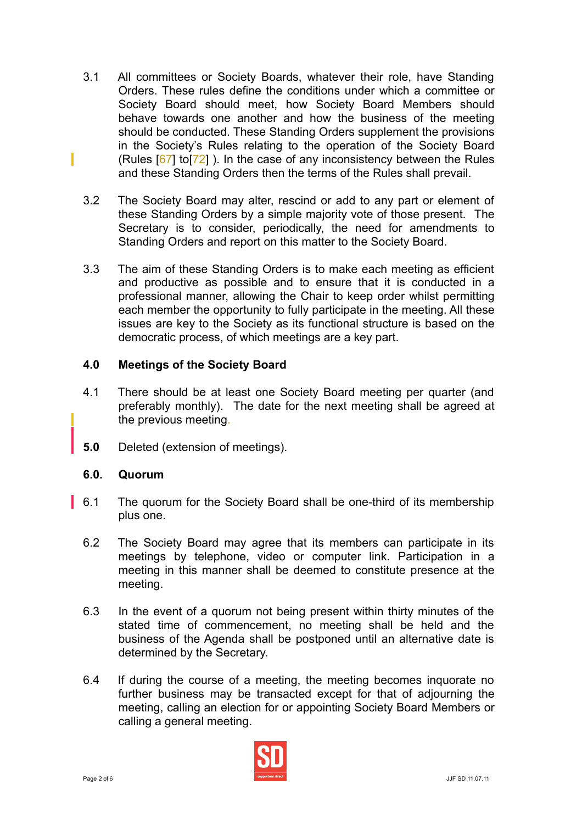- 3.1 All committees or Society Boards, whatever their role, have Standing Orders. These rules define the conditions under which a committee or Society Board should meet, how Society Board Members should behave towards one another and how the business of the meeting should be conducted. These Standing Orders supplement the provisions in the Society's Rules relating to the operation of the Society Board (Rules  $[67]$  to  $[72]$ ). In the case of any inconsistency between the Rules and these Standing Orders then the terms of the Rules shall prevail.
- 3.2 The Society Board may alter, rescind or add to any part or element of these Standing Orders by a simple majority vote of those present. The Secretary is to consider, periodically, the need for amendments to Standing Orders and report on this matter to the Society Board.
- 3.3 The aim of these Standing Orders is to make each meeting as efficient and productive as possible and to ensure that it is conducted in a professional manner, allowing the Chair to keep order whilst permitting each member the opportunity to fully participate in the meeting. All these issues are key to the Society as its functional structure is based on the democratic process, of which meetings are a key part.

### **4.0 Meetings of the Society Board**

- 4.1 There should be at least one Society Board meeting per quarter (and preferably monthly). The date for the next meeting shall be agreed at the previous meeting.
- **5.0** Deleted (extension of meetings).

### **6.0. Quorum**

- 6.1 The quorum for the Society Board shall be one-third of its membership plus one.
- 6.2 The Society Board may agree that its members can participate in its meetings by telephone, video or computer link. Participation in a meeting in this manner shall be deemed to constitute presence at the meeting.
- 6.3 In the event of a quorum not being present within thirty minutes of the stated time of commencement, no meeting shall be held and the business of the Agenda shall be postponed until an alternative date is determined by the Secretary.
- 6.4 If during the course of a meeting, the meeting becomes inquorate no further business may be transacted except for that of adjourning the meeting, calling an election for or appointing Society Board Members or calling a general meeting.

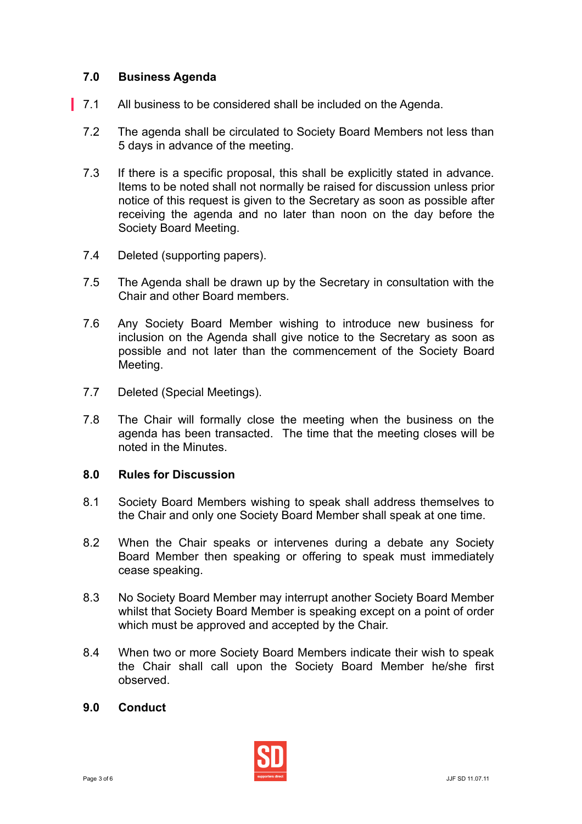## **7.0 Business Agenda**

- 7.1 All business to be considered shall be included on the Agenda.
- 7.2 The agenda shall be circulated to Society Board Members not less than 5 days in advance of the meeting.
- 7.3 If there is a specific proposal, this shall be explicitly stated in advance. Items to be noted shall not normally be raised for discussion unless prior notice of this request is given to the Secretary as soon as possible after receiving the agenda and no later than noon on the day before the Society Board Meeting.
- 7.4 Deleted (supporting papers).
- 7.5 The Agenda shall be drawn up by the Secretary in consultation with the Chair and other Board members.
- 7.6 Any Society Board Member wishing to introduce new business for inclusion on the Agenda shall give notice to the Secretary as soon as possible and not later than the commencement of the Society Board Meeting.
- 7.7 Deleted (Special Meetings).
- 7.8 The Chair will formally close the meeting when the business on the agenda has been transacted. The time that the meeting closes will be noted in the Minutes.

#### **8.0 Rules for Discussion**

- 8.1 Society Board Members wishing to speak shall address themselves to the Chair and only one Society Board Member shall speak at one time.
- 8.2 When the Chair speaks or intervenes during a debate any Society Board Member then speaking or offering to speak must immediately cease speaking.
- 8.3 No Society Board Member may interrupt another Society Board Member whilst that Society Board Member is speaking except on a point of order which must be approved and accepted by the Chair.
- 8.4 When two or more Society Board Members indicate their wish to speak the Chair shall call upon the Society Board Member he/she first observed.

#### **9.0 Conduct**

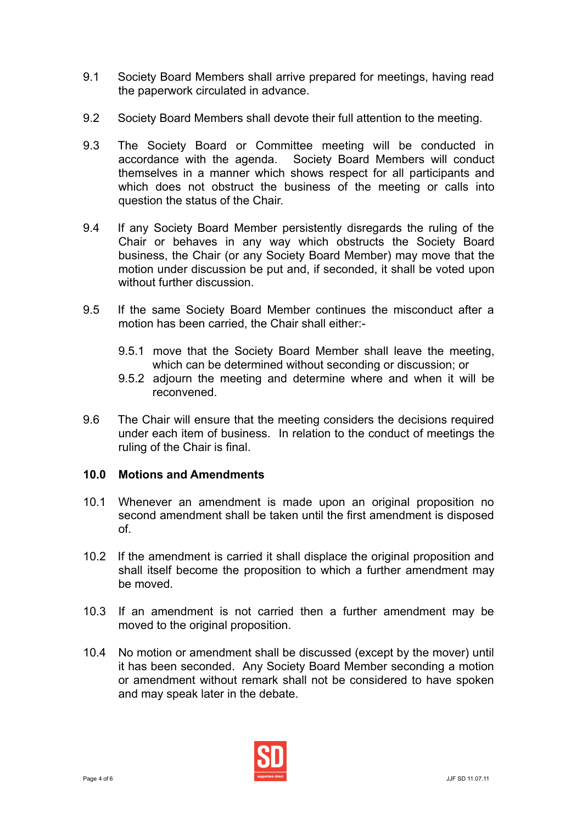- 9.1 Society Board Members shall arrive prepared for meetings, having read the paperwork circulated in advance.
- 9.2 Society Board Members shall devote their full attention to the meeting.
- 9.3 The Society Board or Committee meeting will be conducted in accordance with the agenda. Society Board Members will conduct themselves in a manner which shows respect for all participants and which does not obstruct the business of the meeting or calls into question the status of the Chair.
- 9.4 If any Society Board Member persistently disregards the ruling of the Chair or behaves in any way which obstructs the Society Board business, the Chair (or any Society Board Member) may move that the motion under discussion be put and, if seconded, it shall be voted upon without further discussion.
- 9.5 If the same Society Board Member continues the misconduct after a motion has been carried, the Chair shall either:-
	- 9.5.1 move that the Society Board Member shall leave the meeting, which can be determined without seconding or discussion; or
	- 9.5.2 adjourn the meeting and determine where and when it will be reconvened.
- 9.6 The Chair will ensure that the meeting considers the decisions required under each item of business. In relation to the conduct of meetings the ruling of the Chair is final.

### **10.0 Motions and Amendments**

- 10.1 Whenever an amendment is made upon an original proposition no second amendment shall be taken until the first amendment is disposed of.
- 10.2 If the amendment is carried it shall displace the original proposition and shall itself become the proposition to which a further amendment may be moved.
- 10.3 If an amendment is not carried then a further amendment may be moved to the original proposition.
- 10.4 No motion or amendment shall be discussed (except by the mover) until it has been seconded. Any Society Board Member seconding a motion or amendment without remark shall not be considered to have spoken and may speak later in the debate.

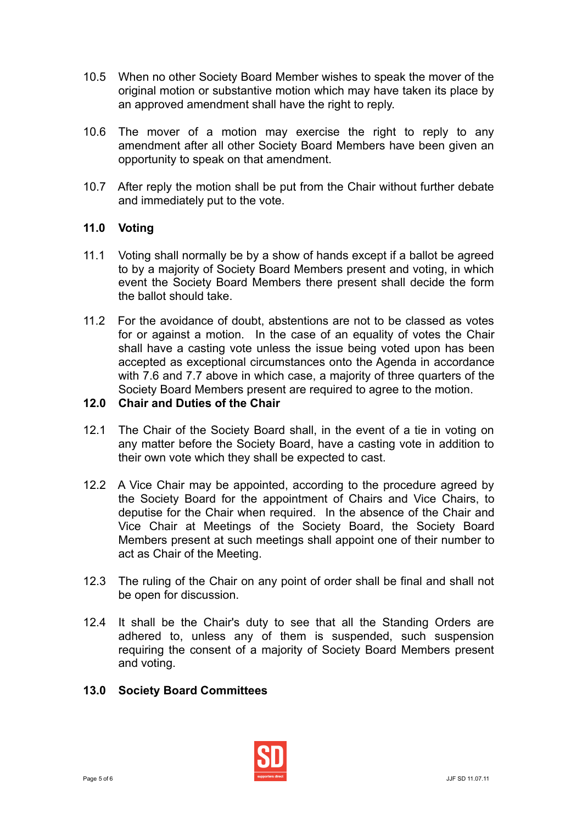- 10.5 When no other Society Board Member wishes to speak the mover of the original motion or substantive motion which may have taken its place by an approved amendment shall have the right to reply.
- 10.6 The mover of a motion may exercise the right to reply to any amendment after all other Society Board Members have been given an opportunity to speak on that amendment.
- 10.7 After reply the motion shall be put from the Chair without further debate and immediately put to the vote.

# **11.0 Voting**

- 11.1 Voting shall normally be by a show of hands except if a ballot be agreed to by a majority of Society Board Members present and voting, in which event the Society Board Members there present shall decide the form the ballot should take.
- 11.2 For the avoidance of doubt, abstentions are not to be classed as votes for or against a motion. In the case of an equality of votes the Chair shall have a casting vote unless the issue being voted upon has been accepted as exceptional circumstances onto the Agenda in accordance with 7.6 and 7.7 above in which case, a majority of three quarters of the Society Board Members present are required to agree to the motion.

## **12.0 Chair and Duties of the Chair**

- 12.1 The Chair of the Society Board shall, in the event of a tie in voting on any matter before the Society Board, have a casting vote in addition to their own vote which they shall be expected to cast.
- 12.2 A Vice Chair may be appointed, according to the procedure agreed by the Society Board for the appointment of Chairs and Vice Chairs, to deputise for the Chair when required. In the absence of the Chair and Vice Chair at Meetings of the Society Board, the Society Board Members present at such meetings shall appoint one of their number to act as Chair of the Meeting.
- 12.3 The ruling of the Chair on any point of order shall be final and shall not be open for discussion.
- 12.4 It shall be the Chair's duty to see that all the Standing Orders are adhered to, unless any of them is suspended, such suspension requiring the consent of a majority of Society Board Members present and voting.
- **13.0 Society Board Committees**